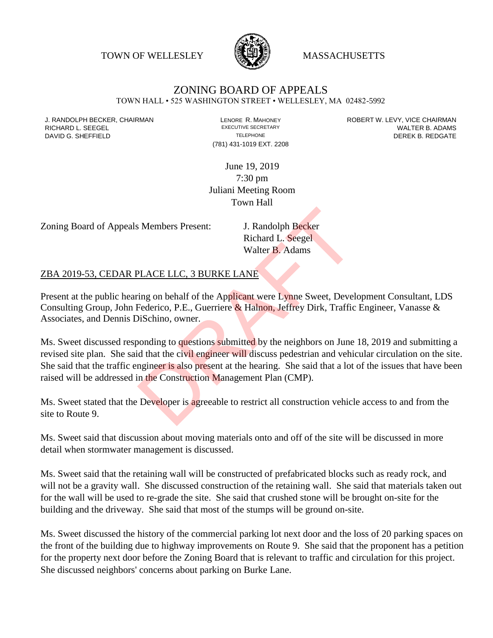TOWN OF WELLESLEY WASSACHUSETTS



## ZONING BOARD OF APPEALS

TOWN HALL • 525 WASHINGTON STREET • WELLESLEY, MA 02482-5992

(781) 431-1019 EXT. 2208

J. RANDOLPH BECKER, CHAIRMAN LENORE R. MAHONEY ROBERT W. LEVY, VICE CHAIRMAN RICHARD L. SEEGEL **EXECUTIVE SECRETARY CONTROLL SEEGETARY** WALTER B. ADAMS DAVID G. SHEFFIELD **TELEPHONE** TELEPHONE TELEPHONE **TELEPHONE DEREK B. REDGATE** 

> June 19, 2019 7:30 pm Juliani Meeting Room Town Hall

Zoning Board of Appeals Members Present: J. Randolph Becker

Richard L. Seegel Walter B. Adams

## ZBA 2019-53, CEDAR PLACE LLC, 3 BURKE LANE

Present at the public hearing on behalf of the Applicant were Lynne Sweet, Development Consultant, LDS Consulting Group, John Federico, P.E., Guerriere & Halnon, Jeffrey Dirk, Traffic Engineer, Vanasse & Associates, and Dennis DiSchino, owner.

Ms. Sweet discussed responding to questions submitted by the neighbors on June 18, 2019 and submitting a revised site plan. She said that the civil engineer will discuss pedestrian and vehicular circulation on the site. She said that the traffic engineer is also present at the hearing. She said that a lot of the issues that have been raised will be addressed in the Construction Management Plan (CMP). S. Members Present: J. Randolph Becker<br>
Richard L. Seegel<br>
Walter B. Adams<br>
PLACE LLC, 3 BURKE LANE<br>
ring on behalf of the Applicant were Lynne Sweet, Devel<br>
Federico, P.E., Guerriere & Halnon, Jeffrey Dirk, Traffic<br>
DiSch

Ms. Sweet stated that the Developer is agreeable to restrict all construction vehicle access to and from the site to Route 9.

Ms. Sweet said that discussion about moving materials onto and off of the site will be discussed in more detail when stormwater management is discussed.

Ms. Sweet said that the retaining wall will be constructed of prefabricated blocks such as ready rock, and will not be a gravity wall. She discussed construction of the retaining wall. She said that materials taken out for the wall will be used to re-grade the site. She said that crushed stone will be brought on-site for the building and the driveway. She said that most of the stumps will be ground on-site.

Ms. Sweet discussed the history of the commercial parking lot next door and the loss of 20 parking spaces on the front of the building due to highway improvements on Route 9. She said that the proponent has a petition for the property next door before the Zoning Board that is relevant to traffic and circulation for this project. She discussed neighbors' concerns about parking on Burke Lane.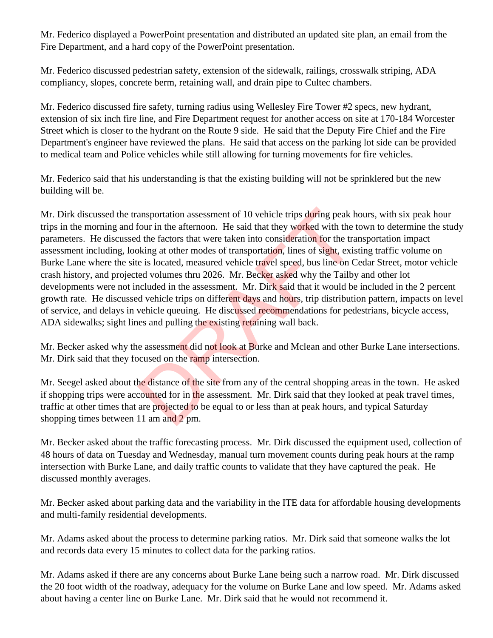Mr. Federico displayed a PowerPoint presentation and distributed an updated site plan, an email from the Fire Department, and a hard copy of the PowerPoint presentation.

Mr. Federico discussed pedestrian safety, extension of the sidewalk, railings, crosswalk striping, ADA compliancy, slopes, concrete berm, retaining wall, and drain pipe to Cultec chambers.

Mr. Federico discussed fire safety, turning radius using Wellesley Fire Tower #2 specs, new hydrant, extension of six inch fire line, and Fire Department request for another access on site at 170-184 Worcester Street which is closer to the hydrant on the Route 9 side. He said that the Deputy Fire Chief and the Fire Department's engineer have reviewed the plans. He said that access on the parking lot side can be provided to medical team and Police vehicles while still allowing for turning movements for fire vehicles.

Mr. Federico said that his understanding is that the existing building will not be sprinklered but the new building will be.

Mr. Dirk discussed the transportation assessment of 10 vehicle trips during peak hours, with six peak hour trips in the morning and four in the afternoon. He said that they worked with the town to determine the study parameters. He discussed the factors that were taken into consideration for the transportation impact assessment including, looking at other modes of transportation, lines of sight, existing traffic volume on Burke Lane where the site is located, measured vehicle travel speed, bus line on Cedar Street, motor vehicle crash history, and projected volumes thru 2026. Mr. Becker asked why the Tailby and other lot developments were not included in the assessment. Mr. Dirk said that it would be included in the 2 percent growth rate. He discussed vehicle trips on different days and hours, trip distribution pattern, impacts on level of service, and delays in vehicle queuing. He discussed recommendations for pedestrians, bicycle access, ADA sidewalks; sight lines and pulling the existing retaining wall back. ansportation assessment of 10 vehicle trips during peak hour in the afternoon. He said that they worked with the d the factors that were taken into consideration for the tra<br>bking at other modes of transportation, lines of

Mr. Becker asked why the assessment did not look at Burke and Mclean and other Burke Lane intersections. Mr. Dirk said that they focused on the ramp intersection.

Mr. Seegel asked about the distance of the site from any of the central shopping areas in the town. He asked if shopping trips were accounted for in the assessment. Mr. Dirk said that they looked at peak travel times, traffic at other times that are projected to be equal to or less than at peak hours, and typical Saturday shopping times between 11 am and 2 pm.

Mr. Becker asked about the traffic forecasting process. Mr. Dirk discussed the equipment used, collection of 48 hours of data on Tuesday and Wednesday, manual turn movement counts during peak hours at the ramp intersection with Burke Lane, and daily traffic counts to validate that they have captured the peak. He discussed monthly averages.

Mr. Becker asked about parking data and the variability in the ITE data for affordable housing developments and multi-family residential developments.

Mr. Adams asked about the process to determine parking ratios. Mr. Dirk said that someone walks the lot and records data every 15 minutes to collect data for the parking ratios.

Mr. Adams asked if there are any concerns about Burke Lane being such a narrow road. Mr. Dirk discussed the 20 foot width of the roadway, adequacy for the volume on Burke Lane and low speed. Mr. Adams asked about having a center line on Burke Lane. Mr. Dirk said that he would not recommend it.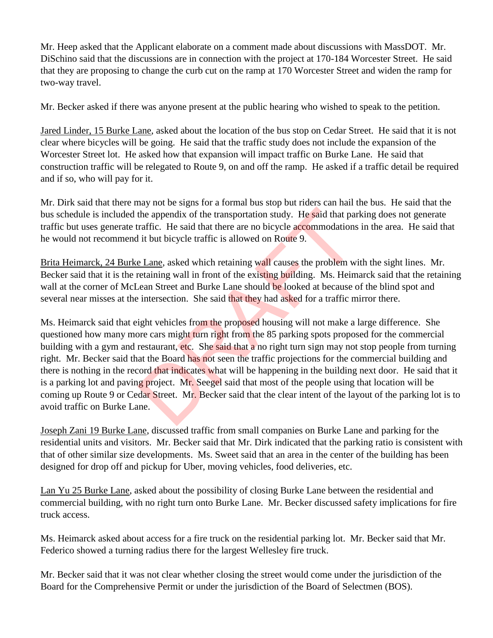Mr. Heep asked that the Applicant elaborate on a comment made about discussions with MassDOT. Mr. DiSchino said that the discussions are in connection with the project at 170-184 Worcester Street. He said that they are proposing to change the curb cut on the ramp at 170 Worcester Street and widen the ramp for two-way travel.

Mr. Becker asked if there was anyone present at the public hearing who wished to speak to the petition.

Jared Linder, 15 Burke Lane, asked about the location of the bus stop on Cedar Street. He said that it is not clear where bicycles will be going. He said that the traffic study does not include the expansion of the Worcester Street lot. He asked how that expansion will impact traffic on Burke Lane. He said that construction traffic will be relegated to Route 9, on and off the ramp. He asked if a traffic detail be required and if so, who will pay for it.

Mr. Dirk said that there may not be signs for a formal bus stop but riders can hail the bus. He said that the bus schedule is included the appendix of the transportation study. He said that parking does not generate traffic but uses generate traffic. He said that there are no bicycle accommodations in the area. He said that he would not recommend it but bicycle traffic is allowed on Route 9.

Brita Heimarck, 24 Burke Lane, asked which retaining wall causes the problem with the sight lines. Mr. Becker said that it is the retaining wall in front of the existing building. Ms. Heimarck said that the retaining wall at the corner of McLean Street and Burke Lane should be looked at because of the blind spot and several near misses at the intersection. She said that they had asked for a traffic mirror there.

Ms. Heimarck said that eight vehicles from the proposed housing will not make a large difference. She questioned how many more cars might turn right from the 85 parking spots proposed for the commercial building with a gym and restaurant, etc. She said that a no right turn sign may not stop people from turning right. Mr. Becker said that the Board has not seen the traffic projections for the commercial building and there is nothing in the record that indicates what will be happening in the building next door. He said that it is a parking lot and paving project. Mr. Seegel said that most of the people using that location will be coming up Route 9 or Cedar Street. Mr. Becker said that the clear intent of the layout of the parking lot is to avoid traffic on Burke Lane. the appendix of the transportation study. He said that paraffic. He said that there are no bicycle accommodations<br>it is but bicycle traffic is allowed on Route 9.<br>
E Lane, asked which retaining wall causes the problem were

Joseph Zani 19 Burke Lane, discussed traffic from small companies on Burke Lane and parking for the residential units and visitors. Mr. Becker said that Mr. Dirk indicated that the parking ratio is consistent with that of other similar size developments. Ms. Sweet said that an area in the center of the building has been designed for drop off and pickup for Uber, moving vehicles, food deliveries, etc.

Lan Yu 25 Burke Lane, asked about the possibility of closing Burke Lane between the residential and commercial building, with no right turn onto Burke Lane. Mr. Becker discussed safety implications for fire truck access.

Ms. Heimarck asked about access for a fire truck on the residential parking lot. Mr. Becker said that Mr. Federico showed a turning radius there for the largest Wellesley fire truck.

Mr. Becker said that it was not clear whether closing the street would come under the jurisdiction of the Board for the Comprehensive Permit or under the jurisdiction of the Board of Selectmen (BOS).